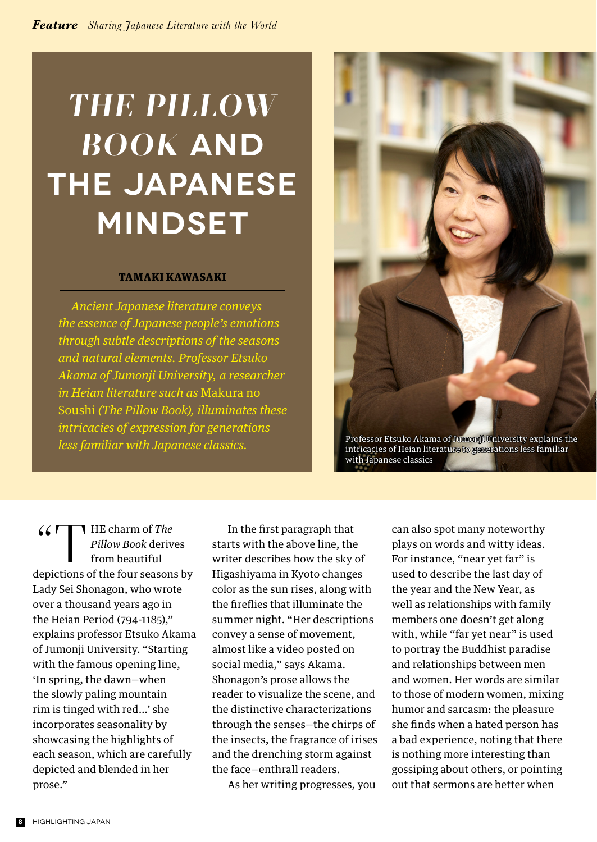## *THE PILLOW BOOK* **AND THE JAPANESE MINDSET**

## TAMAKI KAWASAKI

*Ancient Japanese literature conveys the essence of Japanese people's emotions through subtle descriptions of the seasons and natural elements. Professor Etsuko Akama of Jumonji University, a researcher in Heian literature such as* Makura no Soushi *(The Pillow Book), illuminates these intricacies of expression for generations less familiar with Japanese classics.*



Professor Etsuko Akama of Jumonji University explains the intricacies of Heian literature to generations less familiar with Japanese classics

"T HE charm of *The Pillow Book* derives from beautiful depictions of the four seasons by Lady Sei Shonagon, who wrote over a thousand years ago in the Heian Period (794-1185)," explains professor Etsuko Akama of Jumonji University. "Starting with the famous opening line, 'In spring, the dawn—when the slowly paling mountain rim is tinged with red…' she incorporates seasonality by showcasing the highlights of each season, which are carefully depicted and blended in her prose."

 In the first paragraph that starts with the above line, the writer describes how the sky of Higashiyama in Kyoto changes color as the sun rises, along with the fireflies that illuminate the summer night. "Her descriptions convey a sense of movement, almost like a video posted on social media," says Akama. Shonagon's prose allows the reader to visualize the scene, and the distinctive characterizations through the senses—the chirps of the insects, the fragrance of irises and the drenching storm against the face—enthrall readers.

As her writing progresses, you

can also spot many noteworthy plays on words and witty ideas. For instance, "near yet far" is used to describe the last day of the year and the New Year, as well as relationships with family members one doesn't get along with, while "far yet near" is used to portray the Buddhist paradise and relationships between men and women. Her words are similar to those of modern women, mixing humor and sarcasm: the pleasure she finds when a hated person has a bad experience, noting that there is nothing more interesting than gossiping about others, or pointing out that sermons are better when